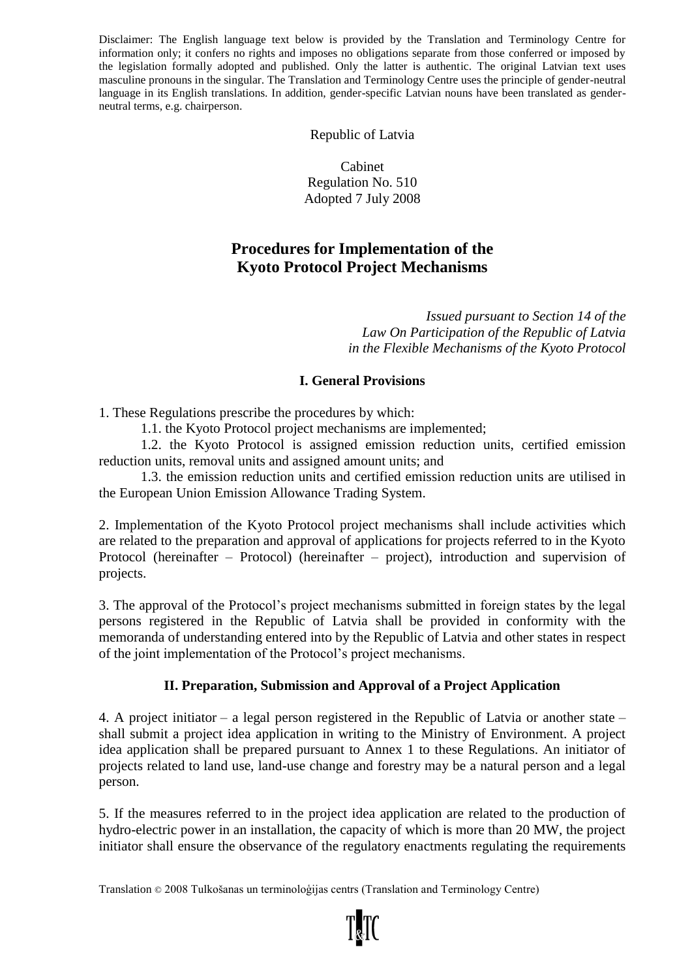Disclaimer: The English language text below is provided by the Translation and Terminology Centre for information only; it confers no rights and imposes no obligations separate from those conferred or imposed by the legislation formally adopted and published. Only the latter is authentic. The original Latvian text uses masculine pronouns in the singular. The Translation and Terminology Centre uses the principle of gender-neutral language in its English translations. In addition, gender-specific Latvian nouns have been translated as genderneutral terms, e.g. chairperson.

Republic of Latvia

Cabinet Regulation No. 510 Adopted 7 July 2008

# **Procedures for Implementation of the Kyoto Protocol Project Mechanisms**

*Issued pursuant to Section 14 of the Law On Participation of the Republic of Latvia in the Flexible Mechanisms of the Kyoto Protocol*

#### **I. General Provisions**

1. These Regulations prescribe the procedures by which:

1.1. the Kyoto Protocol project mechanisms are implemented;

1.2. the Kyoto Protocol is assigned emission reduction units, certified emission reduction units, removal units and assigned amount units; and

1.3. the emission reduction units and certified emission reduction units are utilised in the European Union Emission Allowance Trading System.

2. Implementation of the Kyoto Protocol project mechanisms shall include activities which are related to the preparation and approval of applications for projects referred to in the Kyoto Protocol (hereinafter – Protocol) (hereinafter – project), introduction and supervision of projects.

3. The approval of the Protocol's project mechanisms submitted in foreign states by the legal persons registered in the Republic of Latvia shall be provided in conformity with the memoranda of understanding entered into by the Republic of Latvia and other states in respect of the joint implementation of the Protocol's project mechanisms.

# **II. Preparation, Submission and Approval of a Project Application**

4. A project initiator – a legal person registered in the Republic of Latvia or another state – shall submit a project idea application in writing to the Ministry of Environment. A project idea application shall be prepared pursuant to Annex 1 to these Regulations. An initiator of projects related to land use, land-use change and forestry may be a natural person and a legal person.

5. If the measures referred to in the project idea application are related to the production of hydro-electric power in an installation, the capacity of which is more than 20 MW, the project initiator shall ensure the observance of the regulatory enactments regulating the requirements

Translation © 2008 Tulkošanas un terminoloģijas centrs (Translation and Terminology Centre)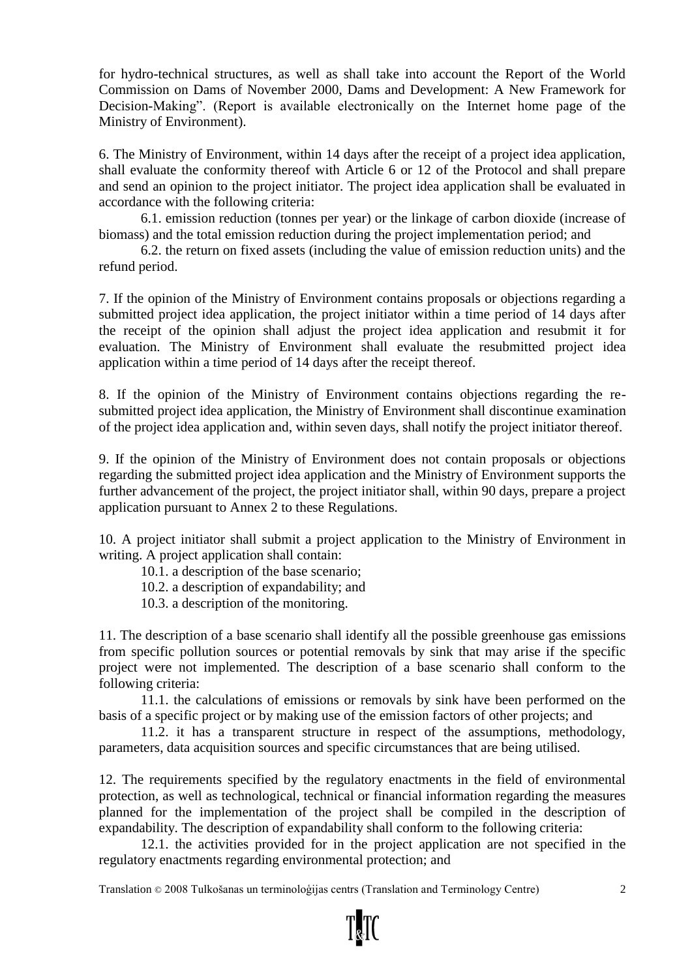for hydro-technical structures, as well as shall take into account the Report of the World Commission on Dams of November 2000, Dams and Development: A New Framework for Decision-Making". (Report is available electronically on the Internet home page of the Ministry of Environment).

6. The Ministry of Environment, within 14 days after the receipt of a project idea application, shall evaluate the conformity thereof with Article 6 or 12 of the Protocol and shall prepare and send an opinion to the project initiator. The project idea application shall be evaluated in accordance with the following criteria:

6.1. emission reduction (tonnes per year) or the linkage of carbon dioxide (increase of biomass) and the total emission reduction during the project implementation period; and

6.2. the return on fixed assets (including the value of emission reduction units) and the refund period.

7. If the opinion of the Ministry of Environment contains proposals or objections regarding a submitted project idea application, the project initiator within a time period of 14 days after the receipt of the opinion shall adjust the project idea application and resubmit it for evaluation. The Ministry of Environment shall evaluate the resubmitted project idea application within a time period of 14 days after the receipt thereof.

8. If the opinion of the Ministry of Environment contains objections regarding the resubmitted project idea application, the Ministry of Environment shall discontinue examination of the project idea application and, within seven days, shall notify the project initiator thereof.

9. If the opinion of the Ministry of Environment does not contain proposals or objections regarding the submitted project idea application and the Ministry of Environment supports the further advancement of the project, the project initiator shall, within 90 days, prepare a project application pursuant to Annex 2 to these Regulations.

10. A project initiator shall submit a project application to the Ministry of Environment in writing. A project application shall contain:

10.1. a description of the base scenario;

10.2. a description of expandability; and

10.3. a description of the monitoring.

11. The description of a base scenario shall identify all the possible greenhouse gas emissions from specific pollution sources or potential removals by sink that may arise if the specific project were not implemented. The description of a base scenario shall conform to the following criteria:

11.1. the calculations of emissions or removals by sink have been performed on the basis of a specific project or by making use of the emission factors of other projects; and

11.2. it has a transparent structure in respect of the assumptions, methodology, parameters, data acquisition sources and specific circumstances that are being utilised.

12. The requirements specified by the regulatory enactments in the field of environmental protection, as well as technological, technical or financial information regarding the measures planned for the implementation of the project shall be compiled in the description of expandability. The description of expandability shall conform to the following criteria:

12.1. the activities provided for in the project application are not specified in the regulatory enactments regarding environmental protection; and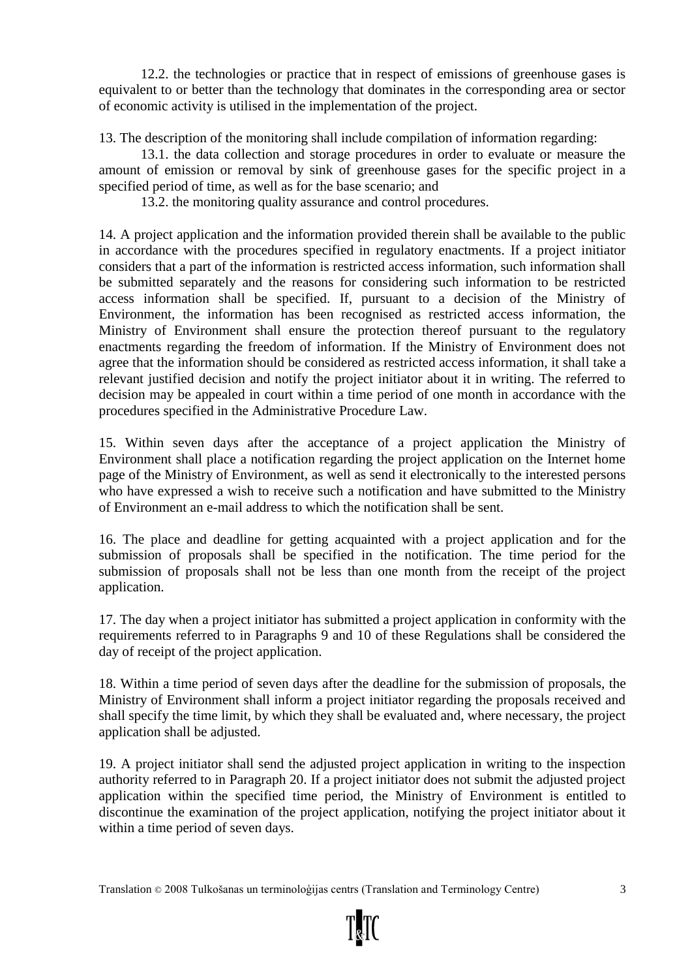12.2. the technologies or practice that in respect of emissions of greenhouse gases is equivalent to or better than the technology that dominates in the corresponding area or sector of economic activity is utilised in the implementation of the project.

13. The description of the monitoring shall include compilation of information regarding:

13.1. the data collection and storage procedures in order to evaluate or measure the amount of emission or removal by sink of greenhouse gases for the specific project in a specified period of time, as well as for the base scenario; and

13.2. the monitoring quality assurance and control procedures.

14. A project application and the information provided therein shall be available to the public in accordance with the procedures specified in regulatory enactments. If a project initiator considers that a part of the information is restricted access information, such information shall be submitted separately and the reasons for considering such information to be restricted access information shall be specified. If, pursuant to a decision of the Ministry of Environment, the information has been recognised as restricted access information, the Ministry of Environment shall ensure the protection thereof pursuant to the regulatory enactments regarding the freedom of information. If the Ministry of Environment does not agree that the information should be considered as restricted access information, it shall take a relevant justified decision and notify the project initiator about it in writing. The referred to decision may be appealed in court within a time period of one month in accordance with the procedures specified in the Administrative Procedure Law.

15. Within seven days after the acceptance of a project application the Ministry of Environment shall place a notification regarding the project application on the Internet home page of the Ministry of Environment, as well as send it electronically to the interested persons who have expressed a wish to receive such a notification and have submitted to the Ministry of Environment an e-mail address to which the notification shall be sent.

16. The place and deadline for getting acquainted with a project application and for the submission of proposals shall be specified in the notification. The time period for the submission of proposals shall not be less than one month from the receipt of the project application.

17. The day when a project initiator has submitted a project application in conformity with the requirements referred to in Paragraphs 9 and 10 of these Regulations shall be considered the day of receipt of the project application.

18. Within a time period of seven days after the deadline for the submission of proposals, the Ministry of Environment shall inform a project initiator regarding the proposals received and shall specify the time limit, by which they shall be evaluated and, where necessary, the project application shall be adjusted.

19. A project initiator shall send the adjusted project application in writing to the inspection authority referred to in Paragraph 20. If a project initiator does not submit the adjusted project application within the specified time period, the Ministry of Environment is entitled to discontinue the examination of the project application, notifying the project initiator about it within a time period of seven days.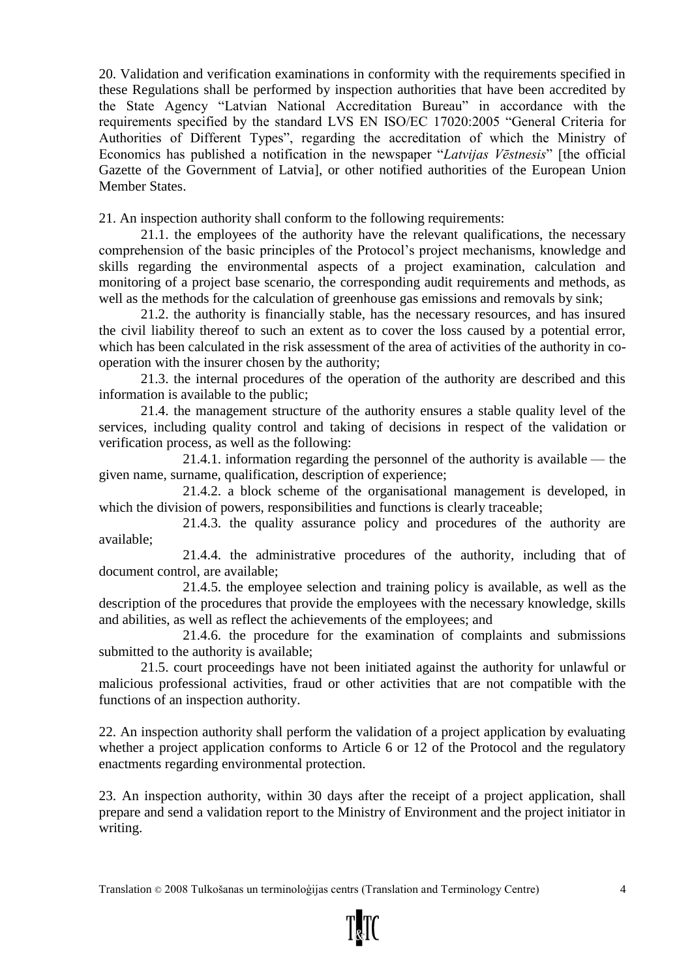20. Validation and verification examinations in conformity with the requirements specified in these Regulations shall be performed by inspection authorities that have been accredited by the State Agency "Latvian National Accreditation Bureau" in accordance with the requirements specified by the standard LVS EN ISO/EC 17020:2005 "General Criteria for Authorities of Different Types", regarding the accreditation of which the Ministry of Economics has published a notification in the newspaper "*Latvijas Vēstnesis*" [the official Gazette of the Government of Latvia], or other notified authorities of the European Union Member States.

21. An inspection authority shall conform to the following requirements:

21.1. the employees of the authority have the relevant qualifications, the necessary comprehension of the basic principles of the Protocol's project mechanisms, knowledge and skills regarding the environmental aspects of a project examination, calculation and monitoring of a project base scenario, the corresponding audit requirements and methods, as well as the methods for the calculation of greenhouse gas emissions and removals by sink;

21.2. the authority is financially stable, has the necessary resources, and has insured the civil liability thereof to such an extent as to cover the loss caused by a potential error, which has been calculated in the risk assessment of the area of activities of the authority in cooperation with the insurer chosen by the authority;

21.3. the internal procedures of the operation of the authority are described and this information is available to the public;

21.4. the management structure of the authority ensures a stable quality level of the services, including quality control and taking of decisions in respect of the validation or verification process, as well as the following:

21.4.1. information regarding the personnel of the authority is available — the given name, surname, qualification, description of experience;

21.4.2. a block scheme of the organisational management is developed, in which the division of powers, responsibilities and functions is clearly traceable;

21.4.3. the quality assurance policy and procedures of the authority are available;

21.4.4. the administrative procedures of the authority, including that of document control, are available;

21.4.5. the employee selection and training policy is available, as well as the description of the procedures that provide the employees with the necessary knowledge, skills and abilities, as well as reflect the achievements of the employees; and

21.4.6. the procedure for the examination of complaints and submissions submitted to the authority is available;

21.5. court proceedings have not been initiated against the authority for unlawful or malicious professional activities, fraud or other activities that are not compatible with the functions of an inspection authority.

22. An inspection authority shall perform the validation of a project application by evaluating whether a project application conforms to Article 6 or 12 of the Protocol and the regulatory enactments regarding environmental protection.

23. An inspection authority, within 30 days after the receipt of a project application, shall prepare and send a validation report to the Ministry of Environment and the project initiator in writing.

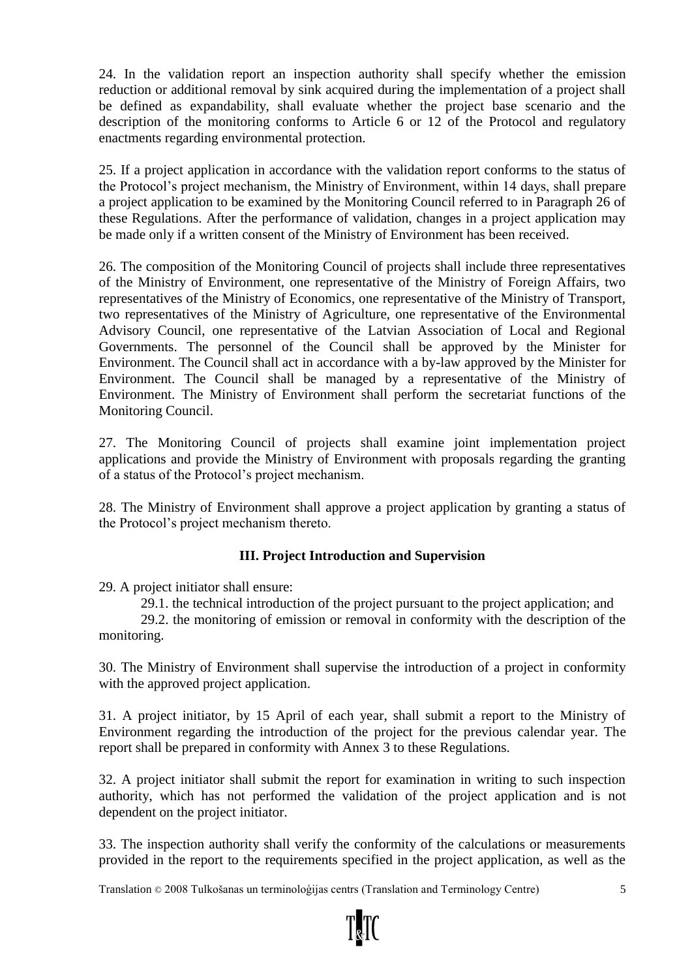24. In the validation report an inspection authority shall specify whether the emission reduction or additional removal by sink acquired during the implementation of a project shall be defined as expandability, shall evaluate whether the project base scenario and the description of the monitoring conforms to Article 6 or 12 of the Protocol and regulatory enactments regarding environmental protection.

25. If a project application in accordance with the validation report conforms to the status of the Protocol's project mechanism, the Ministry of Environment, within 14 days, shall prepare a project application to be examined by the Monitoring Council referred to in Paragraph 26 of these Regulations. After the performance of validation, changes in a project application may be made only if a written consent of the Ministry of Environment has been received.

26. The composition of the Monitoring Council of projects shall include three representatives of the Ministry of Environment, one representative of the Ministry of Foreign Affairs, two representatives of the Ministry of Economics, one representative of the Ministry of Transport, two representatives of the Ministry of Agriculture, one representative of the Environmental Advisory Council, one representative of the Latvian Association of Local and Regional Governments. The personnel of the Council shall be approved by the Minister for Environment. The Council shall act in accordance with a by-law approved by the Minister for Environment. The Council shall be managed by a representative of the Ministry of Environment. The Ministry of Environment shall perform the secretariat functions of the Monitoring Council.

27. The Monitoring Council of projects shall examine joint implementation project applications and provide the Ministry of Environment with proposals regarding the granting of a status of the Protocol's project mechanism.

28. The Ministry of Environment shall approve a project application by granting a status of the Protocol's project mechanism thereto.

# **III. Project Introduction and Supervision**

29. A project initiator shall ensure:

29.1. the technical introduction of the project pursuant to the project application; and

29.2. the monitoring of emission or removal in conformity with the description of the monitoring.

30. The Ministry of Environment shall supervise the introduction of a project in conformity with the approved project application.

31. A project initiator, by 15 April of each year, shall submit a report to the Ministry of Environment regarding the introduction of the project for the previous calendar year. The report shall be prepared in conformity with Annex 3 to these Regulations.

32. A project initiator shall submit the report for examination in writing to such inspection authority, which has not performed the validation of the project application and is not dependent on the project initiator.

33. The inspection authority shall verify the conformity of the calculations or measurements provided in the report to the requirements specified in the project application, as well as the

Translation © 2008 Tulkošanas un terminoloģijas centrs (Translation and Terminology Centre) 5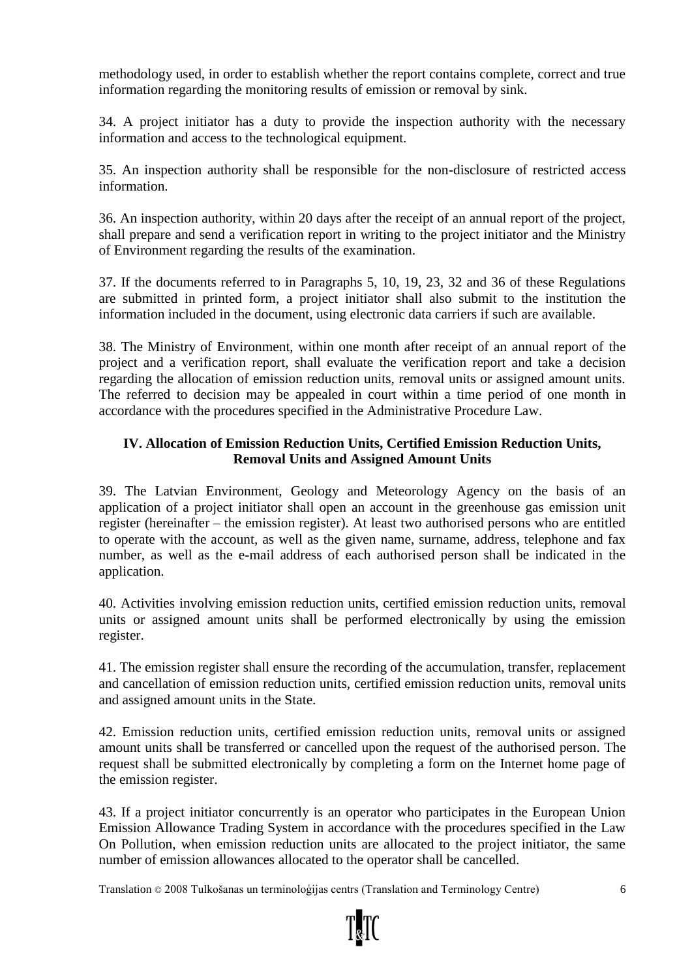methodology used, in order to establish whether the report contains complete, correct and true information regarding the monitoring results of emission or removal by sink.

34. A project initiator has a duty to provide the inspection authority with the necessary information and access to the technological equipment.

35. An inspection authority shall be responsible for the non-disclosure of restricted access information.

36. An inspection authority, within 20 days after the receipt of an annual report of the project, shall prepare and send a verification report in writing to the project initiator and the Ministry of Environment regarding the results of the examination.

37. If the documents referred to in Paragraphs 5, 10, 19, 23, 32 and 36 of these Regulations are submitted in printed form, a project initiator shall also submit to the institution the information included in the document, using electronic data carriers if such are available.

38. The Ministry of Environment, within one month after receipt of an annual report of the project and a verification report, shall evaluate the verification report and take a decision regarding the allocation of emission reduction units, removal units or assigned amount units. The referred to decision may be appealed in court within a time period of one month in accordance with the procedures specified in the Administrative Procedure Law.

# **IV. Allocation of Emission Reduction Units, Certified Emission Reduction Units, Removal Units and Assigned Amount Units**

39. The Latvian Environment, Geology and Meteorology Agency on the basis of an application of a project initiator shall open an account in the greenhouse gas emission unit register (hereinafter – the emission register). At least two authorised persons who are entitled to operate with the account, as well as the given name, surname, address, telephone and fax number, as well as the e-mail address of each authorised person shall be indicated in the application.

40. Activities involving emission reduction units, certified emission reduction units, removal units or assigned amount units shall be performed electronically by using the emission register.

41. The emission register shall ensure the recording of the accumulation, transfer, replacement and cancellation of emission reduction units, certified emission reduction units, removal units and assigned amount units in the State.

42. Emission reduction units, certified emission reduction units, removal units or assigned amount units shall be transferred or cancelled upon the request of the authorised person. The request shall be submitted electronically by completing a form on the Internet home page of the emission register.

43. If a project initiator concurrently is an operator who participates in the European Union Emission Allowance Trading System in accordance with the procedures specified in the Law On Pollution, when emission reduction units are allocated to the project initiator, the same number of emission allowances allocated to the operator shall be cancelled.

Translation © 2008 Tulkošanas un terminoloģijas centrs (Translation and Terminology Centre) 6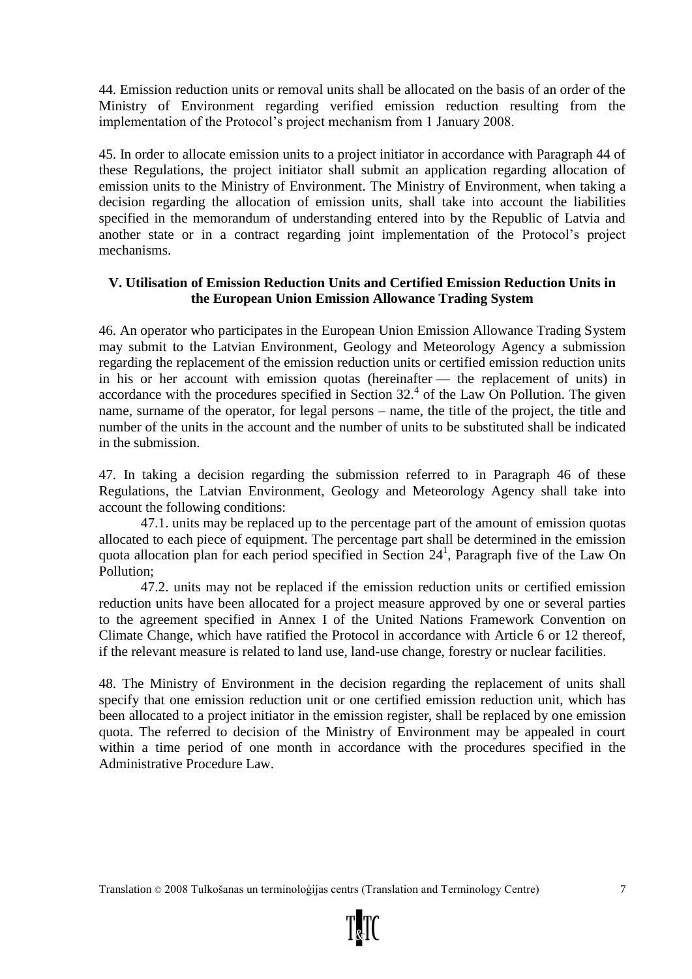44. Emission reduction units or removal units shall be allocated on the basis of an order of the Ministry of Environment regarding verified emission reduction resulting from the implementation of the Protocol's project mechanism from 1 January 2008.

45. In order to allocate emission units to a project initiator in accordance with Paragraph 44 of these Regulations, the project initiator shall submit an application regarding allocation of emission units to the Ministry of Environment. The Ministry of Environment, when taking a decision regarding the allocation of emission units, shall take into account the liabilities specified in the memorandum of understanding entered into by the Republic of Latvia and another state or in a contract regarding joint implementation of the Protocol's project mechanisms.

# **V. Utilisation of Emission Reduction Units and Certified Emission Reduction Units in the European Union Emission Allowance Trading System**

46. An operator who participates in the European Union Emission Allowance Trading System may submit to the Latvian Environment, Geology and Meteorology Agency a submission regarding the replacement of the emission reduction units or certified emission reduction units in his or her account with emission quotas (hereinafter — the replacement of units) in accordance with the procedures specified in Section  $32<sup>4</sup>$  of the Law On Pollution. The given name, surname of the operator, for legal persons – name, the title of the project, the title and number of the units in the account and the number of units to be substituted shall be indicated in the submission.

47. In taking a decision regarding the submission referred to in Paragraph 46 of these Regulations, the Latvian Environment, Geology and Meteorology Agency shall take into account the following conditions:

47.1. units may be replaced up to the percentage part of the amount of emission quotas allocated to each piece of equipment. The percentage part shall be determined in the emission quota allocation plan for each period specified in Section 24<sup>1</sup>, Paragraph five of the Law On Pollution;

47.2. units may not be replaced if the emission reduction units or certified emission reduction units have been allocated for a project measure approved by one or several parties to the agreement specified in Annex I of the United Nations Framework Convention on Climate Change, which have ratified the Protocol in accordance with Article 6 or 12 thereof, if the relevant measure is related to land use, land-use change, forestry or nuclear facilities.

48. The Ministry of Environment in the decision regarding the replacement of units shall specify that one emission reduction unit or one certified emission reduction unit, which has been allocated to a project initiator in the emission register, shall be replaced by one emission quota. The referred to decision of the Ministry of Environment may be appealed in court within a time period of one month in accordance with the procedures specified in the Administrative Procedure Law.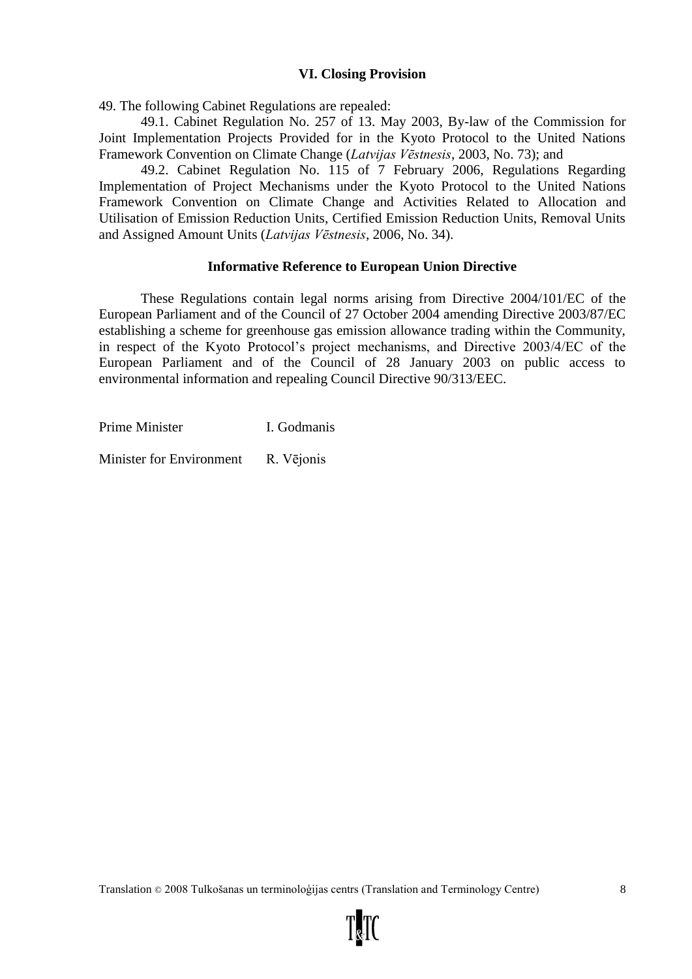#### **VI. Closing Provision**

49. The following Cabinet Regulations are repealed:

49.1. Cabinet Regulation No. 257 of 13. May 2003, By-law of the Commission for Joint Implementation Projects Provided for in the Kyoto Protocol to the United Nations Framework Convention on Climate Change (*Latvijas Vēstnesis*, 2003, No. 73); and

49.2. Cabinet Regulation No. 115 of 7 February 2006, Regulations Regarding Implementation of Project Mechanisms under the Kyoto Protocol to the United Nations Framework Convention on Climate Change and Activities Related to Allocation and Utilisation of Emission Reduction Units, Certified Emission Reduction Units, Removal Units and Assigned Amount Units (*Latvijas Vēstnesis*, 2006, No. 34).

#### **Informative Reference to European Union Directive**

These Regulations contain legal norms arising from Directive 2004/101/EC of the European Parliament and of the Council of 27 October 2004 amending Directive 2003/87/EC establishing a scheme for greenhouse gas emission allowance trading within the Community, in respect of the Kyoto Protocol's project mechanisms, and Directive 2003/4/EC of the European Parliament and of the Council of 28 January 2003 on public access to environmental information and repealing Council Directive 90/313/EEC.

Prime Minister I. Godmanis

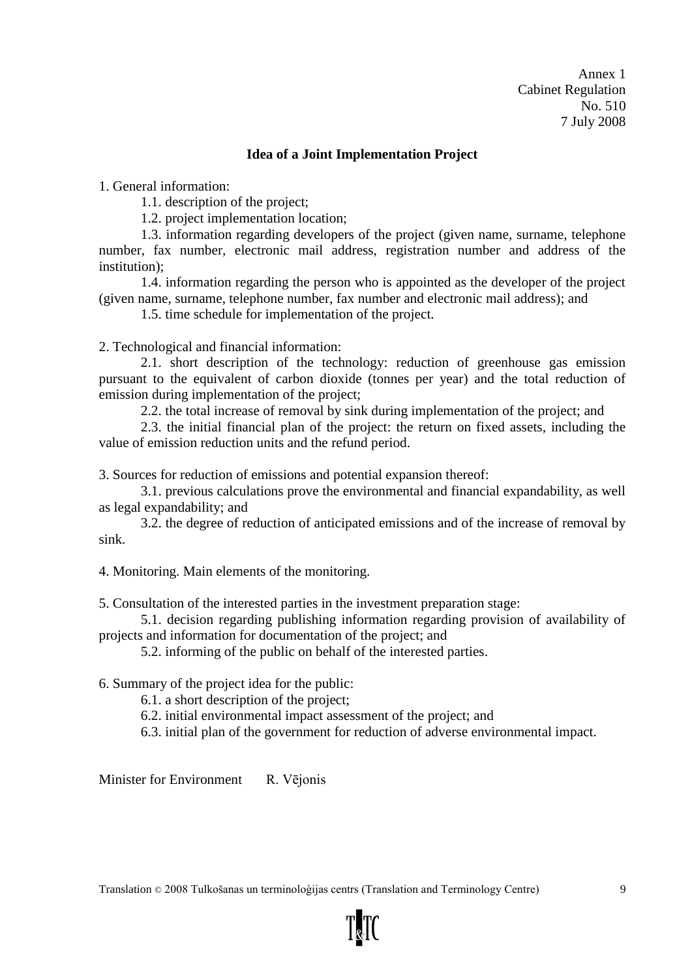#### **Idea of a Joint Implementation Project**

1. General information:

1.1. description of the project;

1.2. project implementation location;

1.3. information regarding developers of the project (given name, surname, telephone number, fax number, electronic mail address, registration number and address of the institution);

1.4. information regarding the person who is appointed as the developer of the project (given name, surname, telephone number, fax number and electronic mail address); and

1.5. time schedule for implementation of the project.

2. Technological and financial information:

2.1. short description of the technology: reduction of greenhouse gas emission pursuant to the equivalent of carbon dioxide (tonnes per year) and the total reduction of emission during implementation of the project;

2.2. the total increase of removal by sink during implementation of the project; and

2.3. the initial financial plan of the project: the return on fixed assets, including the value of emission reduction units and the refund period.

3. Sources for reduction of emissions and potential expansion thereof:

3.1. previous calculations prove the environmental and financial expandability, as well as legal expandability; and

3.2. the degree of reduction of anticipated emissions and of the increase of removal by sink.

4. Monitoring. Main elements of the monitoring.

5. Consultation of the interested parties in the investment preparation stage:

5.1. decision regarding publishing information regarding provision of availability of projects and information for documentation of the project; and

5.2. informing of the public on behalf of the interested parties.

6. Summary of the project idea for the public:

6.1. a short description of the project;

6.2. initial environmental impact assessment of the project; and

6.3. initial plan of the government for reduction of adverse environmental impact.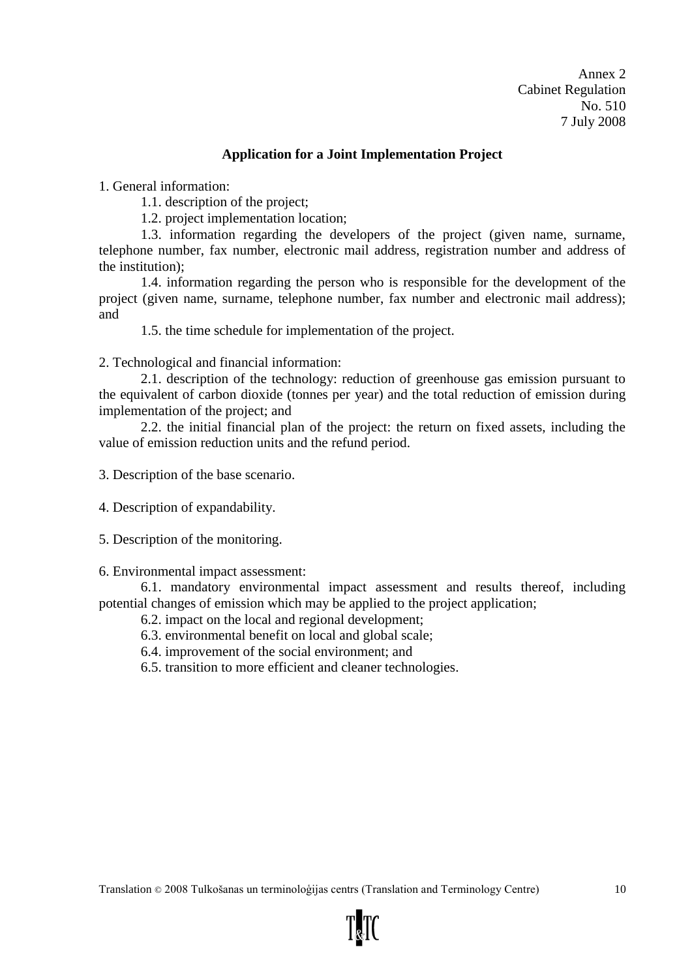#### **Application for a Joint Implementation Project**

1. General information:

1.1. description of the project;

1.2. project implementation location;

1.3. information regarding the developers of the project (given name, surname, telephone number, fax number, electronic mail address, registration number and address of the institution);

1.4. information regarding the person who is responsible for the development of the project (given name, surname, telephone number, fax number and electronic mail address); and

1.5. the time schedule for implementation of the project.

2. Technological and financial information:

2.1. description of the technology: reduction of greenhouse gas emission pursuant to the equivalent of carbon dioxide (tonnes per year) and the total reduction of emission during implementation of the project; and

2.2. the initial financial plan of the project: the return on fixed assets, including the value of emission reduction units and the refund period.

3. Description of the base scenario.

4. Description of expandability.

5. Description of the monitoring.

6. Environmental impact assessment:

6.1. mandatory environmental impact assessment and results thereof, including potential changes of emission which may be applied to the project application;

- 6.2. impact on the local and regional development;
- 6.3. environmental benefit on local and global scale;
- 6.4. improvement of the social environment; and

6.5. transition to more efficient and cleaner technologies.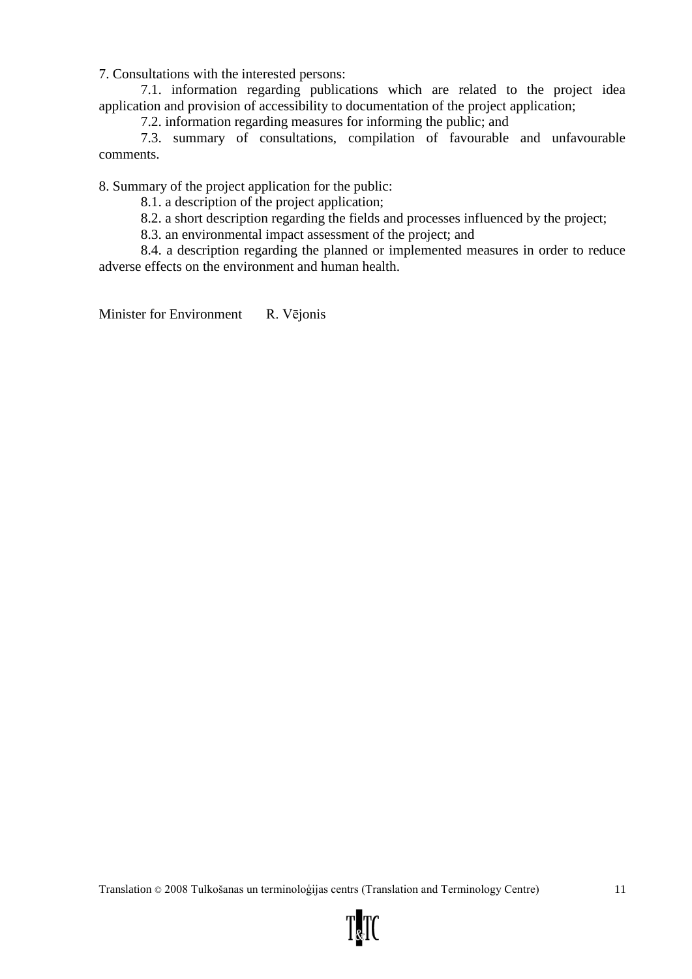7. Consultations with the interested persons:

7.1. information regarding publications which are related to the project idea application and provision of accessibility to documentation of the project application;

7.2. information regarding measures for informing the public; and

7.3. summary of consultations, compilation of favourable and unfavourable comments.

8. Summary of the project application for the public:

8.1. a description of the project application;

8.2. a short description regarding the fields and processes influenced by the project;

8.3. an environmental impact assessment of the project; and

8.4. a description regarding the planned or implemented measures in order to reduce adverse effects on the environment and human health.

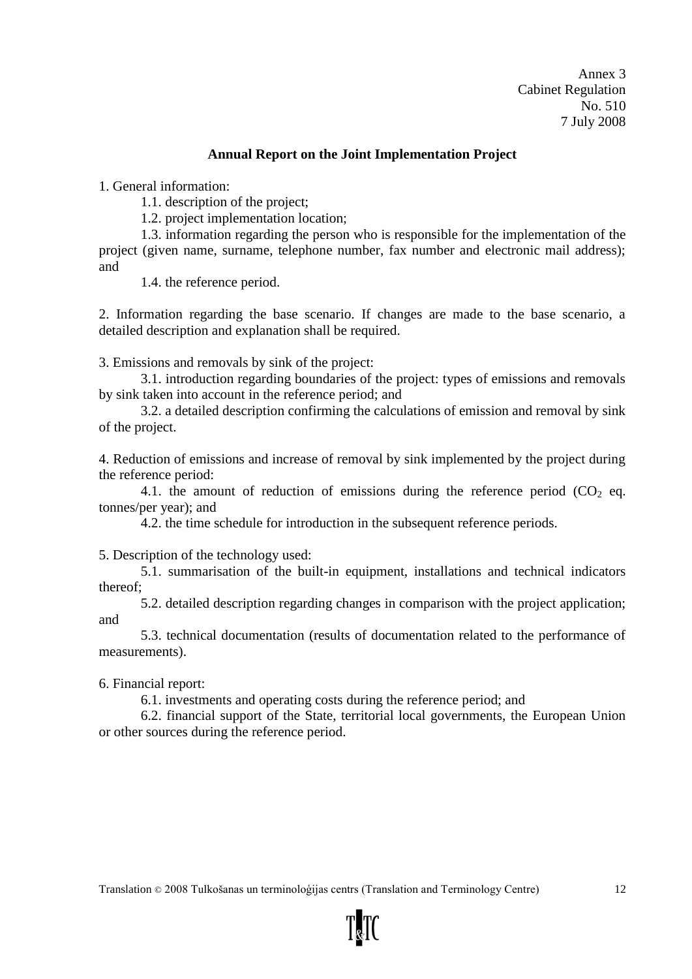#### **Annual Report on the Joint Implementation Project**

1. General information:

1.1. description of the project;

1.2. project implementation location;

1.3. information regarding the person who is responsible for the implementation of the project (given name, surname, telephone number, fax number and electronic mail address); and

1.4. the reference period.

2. Information regarding the base scenario. If changes are made to the base scenario, a detailed description and explanation shall be required.

3. Emissions and removals by sink of the project:

3.1. introduction regarding boundaries of the project: types of emissions and removals by sink taken into account in the reference period; and

3.2. a detailed description confirming the calculations of emission and removal by sink of the project.

4. Reduction of emissions and increase of removal by sink implemented by the project during the reference period:

4.1. the amount of reduction of emissions during the reference period  $(CO<sub>2</sub>$  eq. tonnes/per year); and

4.2. the time schedule for introduction in the subsequent reference periods.

5. Description of the technology used:

5.1. summarisation of the built-in equipment, installations and technical indicators thereof;

5.2. detailed description regarding changes in comparison with the project application; and

5.3. technical documentation (results of documentation related to the performance of measurements).

6. Financial report:

6.1. investments and operating costs during the reference period; and

6.2. financial support of the State, territorial local governments, the European Union or other sources during the reference period.